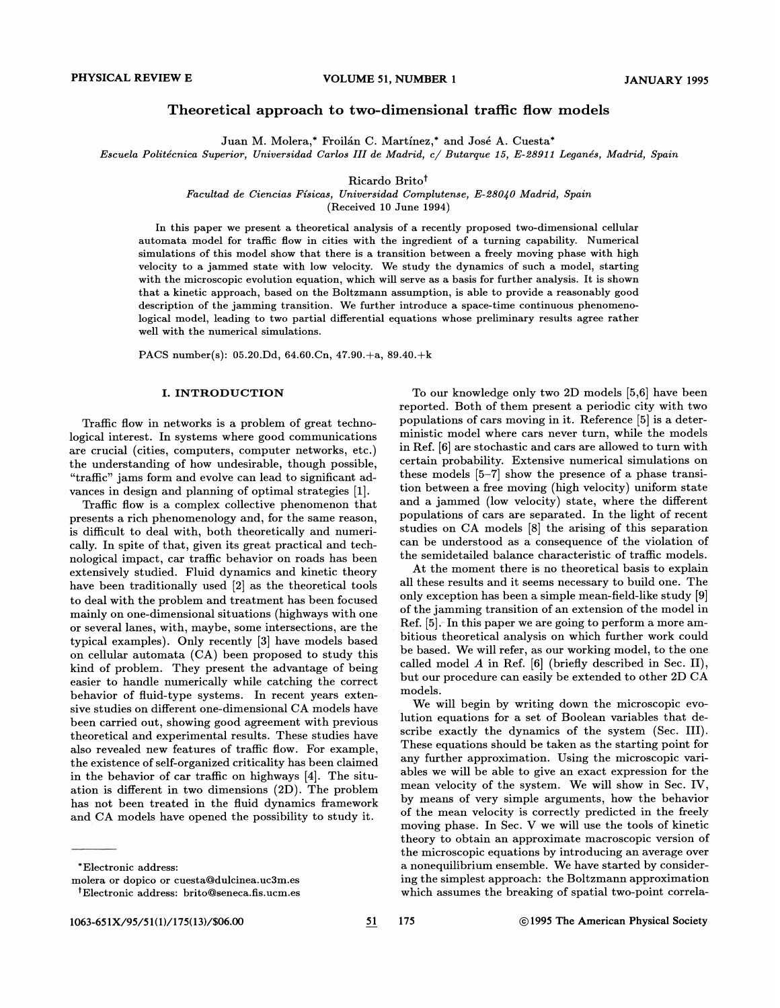# Theoretical approach to two-dimensional traffic flow models

Juan M. Molera,\* Froilán C. Martínez,\* and José A. Cuesta\*

Escuela Politecnica Superior, Universidad Carlos III de Madrid, c/ Butarque I5, E-289II Leganes, Madrid, Spain

Ricardo Britot

Facultad de Ciencias Físicas, Universidad Complutense, E-28040 Madrid, Spain

(Received 10 June 1994)

In this paper we present a theoretical analysis of a recently proposed two-dimensional cellular automata model for traffic flow in cities with the ingredient of a turning capability. Numerical simulations of this model show that there is a transition between a freely moving phase with high velocity to a jammed state with low velocity. We study the dynamics of such a model, starting with the microscopic evolution equation, which will serve as a basis for further analysis. It is shown that a kinetic approach, based on the Boltzmann assumption, is able to provide a reasonably good description of the jamming transition. We further introduce a space-time continuous phenomenological model, leading to two partial differential equations whose preliminary results agree rather well with the numerical simulations.

PACS number(s): 05.20.Dd, 64.60.Cn, 47.90.+a, 89.40.+k

# I. INTRODUCTION

Traffic flow in networks is a problem of great technological interest. In systems where good communications are crucial (cities, computers, computer networks, etc.) the understanding of how undesirable, though possible, "traffic" jams form and evolve can lead to significant advances in design and planning of optimal strategies [1].

Traffic flow is a complex collective phenomenon that presents a rich phenomenology and, for the same reason, is difficult to deal with, both theoretically and numerically. In spite of that, given its great practical and technological impact, car traffic behavior on roads has been extensively studied. Fluid dynamics and kinetic theory have been traditionally used [2] as the theoretical tools to deal with the problem and treatment has been focused mainly on one-dimensional situations (highways with one or several lanes, with, maybe, some intersections, are the typical examples). Only recently [3] have models based on cellular automata (CA) been proposed to study this kind of problem. They present the advantage of being easier to handle numerically while catching the correct behavior of fluid-type systems. In recent years extensive studies on different one-dimensional CA models have been carried out, showing good agreement with previous theoretical and experimental results. These studies have also revealed new features of traffic flow. For example, the existence of self-organized criticality has been claimed in the behavior of car traffic on highways [4]. The situation is difFerent in two dimensions (2D). The problem has not been treated in the fluid dynamics framework and CA models have opened the possibility to study it.

reported. Both of them present a periodic city with two populations of cars moving in it. Reference [5] is a deterministic model where cars never turn, while the models in Ref. [6] are stochastic and cars are allowed to turn with certain probability. Extensive numerical simulations on these models [5—7] show the presence of a phase transition between a free moving (high velocity) uniform state and a jammed (low velocity) state, where the different populations of cars are separated. In the light of recent studies on CA models [8] the arising of this separation can be understood. as a consequence of the violation of the semidetailed balance characteristic of traffic models.

To our knowledge only two 2D models [5,6] have been

At the moment there is no theoretical basis to explain all these results and it seems necessary to build one. The only exception has been a simple mean-field-like study [9] of the jamming transition of an extension of the model in Ref.  $[5]$ . In this paper we are going to perform a more ambitious theoretical analysis on which further work could be based. We will refer, as our working model, to the one called model A in Ref.  $[6]$  (briefly described in Sec. II), but our procedure can easily be extended to other 2D CA models.

We will begin by writing down the microscopic evolution equations for a set of Boolean variables that describe exactly the dynamics of the system (Sec. III). These equations should be taken as the starting point for any further approximation. Using the microscopic variables we will be able to give an exact expression for the mean velocity of the system. We will show in Sec. IV, by means of very simple arguments, how the behavior of the mean velocity is correctly predicted in the freely moving phase. In Sec. V we will use the tools of kinetic theory to obtain an approximate macroscopic version of the microscopic equations by introducing an average over a nonequilibrium ensemble. We have started by considering the simplest approach: the Boltzmann approximation which assumes the breaking of spatial two-point correla-

<sup>\*</sup>Electronic address:

molera or dopico or cuesta@dulcinea.uc3m.es

<sup>&</sup>lt;sup>†</sup>Electronic address: brito@seneca.fis.ucm.es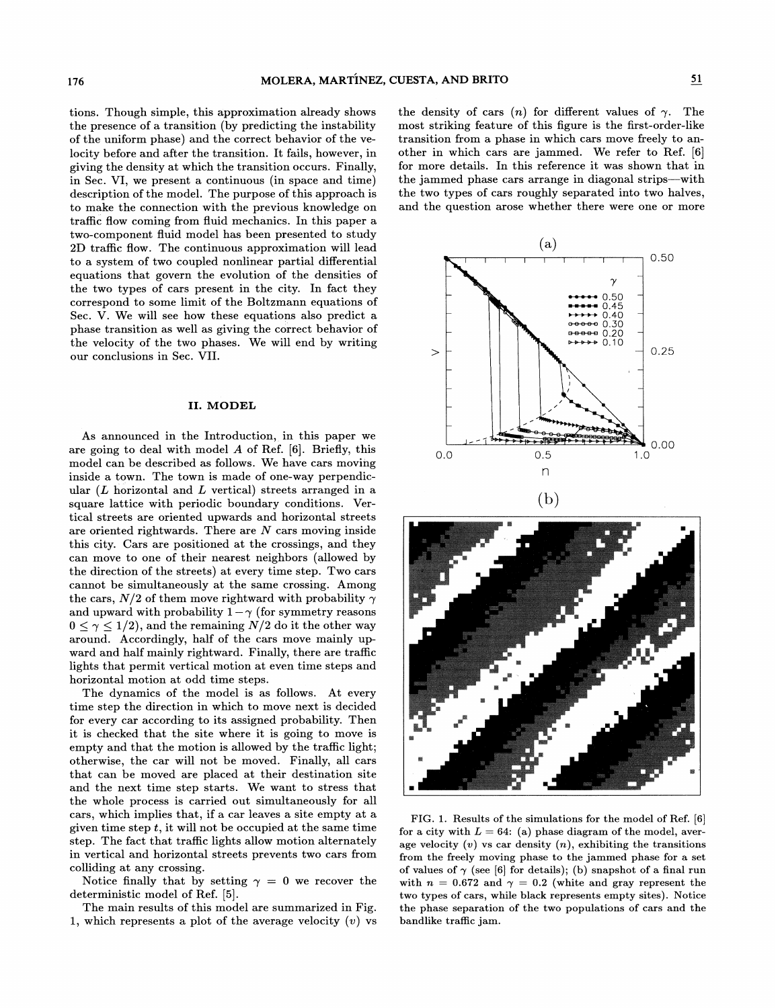tions. Though simple, this approximation already shows the presence of a transition (by predicting the instability of the uniform phase) and the correct behavior of the velocity before and after the transition. It fails, however, in giving the density at which the transition occurs. Finally, in Sec. VI, we present a continuous (in space and time) description of the model. The purpose of this approach is to make the connection with the previous knowledge on traffic flow coming from fluid mechanics. In this paper a two-component fluid model has been presented to study 2D traffic flow. The continuous approximation will lead to a system of two coupled nonlinear partial differential equations that govern the evolution of the densities of the two types of cars present in the city. In fact they correspond to some limit of the Boltzmann equations of Sec. V. We will see how these equations also predict a phase transition as well as giving the correct behavior of the velocity of the two phases. We will end by writing our conclusions in Sec. VII.

# II. MODEL

As announced in the Introduction, in this paper we are going to deal with model  $A$  of Ref. [6]. Briefly, this model can be described as follows. We have cars moving inside a town. The town is made of one-way perpendicular  $(L$  horizontal and  $L$  vertical) streets arranged in a square lattice with periodic boundary conditions. Vertical streets are oriented upwards and horizontal streets are oriented rightwards. There are  $N$  cars moving inside this city. Cars are positioned at the crossings, and they can move to one of their nearest neighbors (allowed by the direction of the streets) at every time step. Two cars cannot be simultaneously at the same crossing. Among the cars,  $N/2$  of them move rightward with probability  $\gamma$ and upward with probability  $1-\gamma$  (for symmetry reasons  $0 \leq \gamma \leq 1/2$ , and the remaining  $N/2$  do it the other way around. Accordingly, half of the cars move mainly upward and half mainly rightward. Finally, there are traffic lights that permit vertical motion at even time steps and horizontal motion at odd time steps.

The dynamics of the model is as follows. At every time step the direction in which to move next is decided for every car according to its assigned probability. Then it is checked that the site where it is going to move is empty and that the motion is allowed by the traffic light; otherwise, the car will not be moved. Finally, all cars that can be moved are placed at their destination site and the next time step starts. We want to stress that the whole process is carried out simultaneously for all cars, which implies that, if a car leaves a site empty at a given time step  $t$ , it will not be occupied at the same time step. The fact that traffic lights allow motion alternately in vertical and horizontal streets prevents two cars from colliding at any crossing.

Notice finally that by setting  $\gamma = 0$  we recover the deterministic model of Ref. [5].

The main results of this model are summarized in Fig. 1, which represents a plot of the average velocity  $(v)$  vs the density of cars  $(n)$  for different values of  $\gamma$ . The most striking feature of this figure is the first-order-like transition from a phase in which cars move freely to another in which cars are jammed. We refer to Ref. [6] for more details. In this reference it was shown that in the jammed phase cars arrange in diagonal strips—with the two types of cars roughly separated into two halves, and the question arose whether there were one or more





FIG. 1. Results of the simulations for the model of Ref. [6] for a city with  $L = 64$ : (a) phase diagram of the model, average velocity  $(v)$  vs car density  $(n)$ , exhibiting the transitions from the freely moving phase to the jammed phase for a set of values of  $\gamma$  (see [6] for details); (b) snapshot of a final run with  $n = 0.672$  and  $\gamma = 0.2$  (white and gray represent the two types of cars, while black represents empty sites). Notice the phase separation of the two populations of cars and the bandlike traffic jam.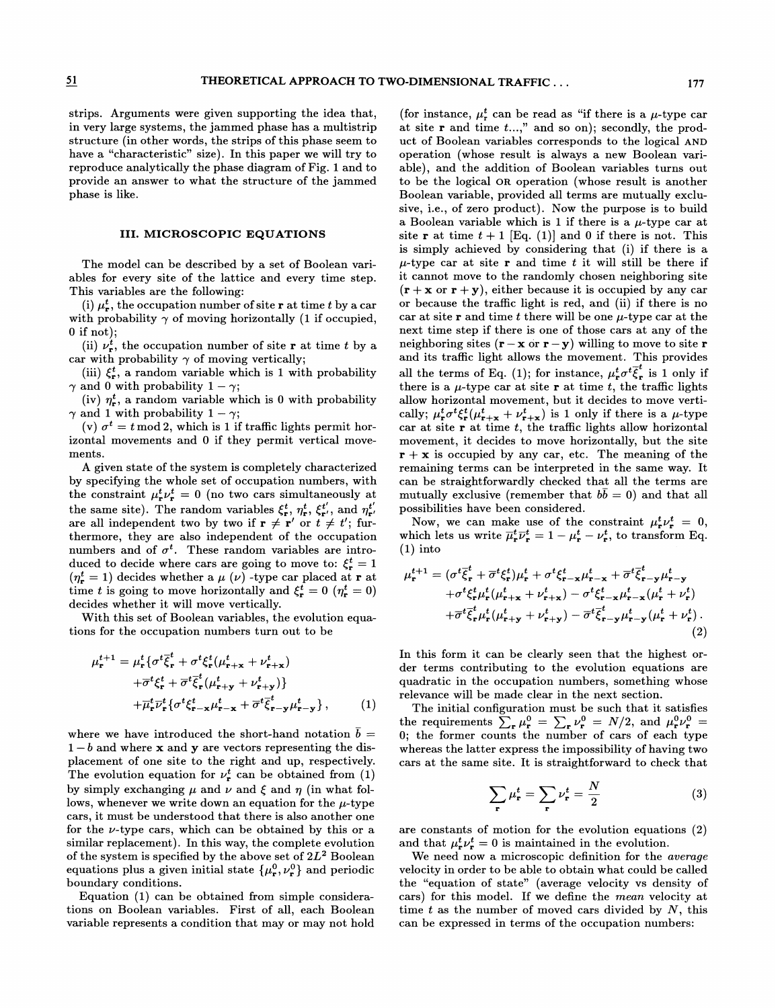strips. Arguments were given supporting the idea that, in very large systems, the jammed phase has a multistrip structure (in other words, the strips of this phase seem to have a "characteristic" size). In this paper we will try to reproduce analytically the phase diagram of Fig. 1 and to provide an answer to what the structure of the jammed phase is like.

## III. MICROSCOPIC EQUATIONS

The model can be described by a set of Boolean variables for every site of the lattice and every time step. This variables are the following:

(i)  $\mu^t_{\tau}$ , the occupation number of site r at time t by a car with probability  $\gamma$  of moving horizontally (1 if occupied,  $0$  if not);

(ii)  $\nu_r^t$ , the occupation number of site **r** at time t by a car with probability  $\gamma$  of moving vertically;

(iii)  $\xi_{\mathbf{r}}^{t}$ , a random variable which is 1 with probability  $\gamma$  and 0 with probability  $1 - \gamma$ ;

(iv)  $\eta_{\mathbf{r}}^{t}$ , a random variable which is 0 with probability  $\gamma$  and 1 with probability  $1 - \gamma$ ;

(v)  $\sigma^t = t \mod 2$ , which is 1 if traffic lights permit horizontal movements and 0 if they permit vertical movements.

A given state of the system is completely characterized by specifying the whole set of occupation numbers, with 'the constraint  $\mu_{\mathbf{r}}^t \nu_{\mathbf{r}}^t = 0$  (no two cars simultaneously at the same site). The random variables  $\xi_t^t$ ,  $\eta_t^t$ ,  $\xi_t^{t'}$ , and  $\eta_t^{t'}$ . are all independent two by two if  $\mathbf{r} \neq \mathbf{r}'$  or  $t \neq t'$ ; furthermore, they are also independent of the occupation numbers and of  $\sigma^t$ . These random variables are introduced to decide where cars are going to move to:  $\xi_r^t = 1$ ( $\eta_r^t = 1$ ) decides whether a  $\mu$  ( $\nu$ ) -type car placed at r at time t is going to move horizontally and  $\xi_{\mathbf{r}}^t = 0$  ( $\eta_{\mathbf{r}}^t = 0$ ) decides whether it will move vertically.

With this set of Boolean variables, the evolution equations for the occupation numbers turn out to be

$$
\mu_{\mathbf{r}}^{t+1} = \mu_{\mathbf{r}}^{t} \{ \sigma^{t} \bar{\xi}_{\mathbf{r}}^{t} + \sigma^{t} \xi_{\mathbf{r}}^{t} (\mu_{\mathbf{r}+\mathbf{x}}^{t} + \nu_{\mathbf{r}+\mathbf{x}}^{t}) \n+ \overline{\sigma}^{t} \xi_{\mathbf{r}}^{t} + \overline{\sigma}^{t} \overline{\xi}_{\mathbf{r}}^{t} (\mu_{\mathbf{r}+\mathbf{y}}^{t} + \nu_{\mathbf{r}+\mathbf{y}}^{t}) \} \n+ \overline{\mu}_{\mathbf{r}}^{t} \overline{\nu}_{\mathbf{r}}^{t} \{ \sigma^{t} \xi_{\mathbf{r}-\mathbf{x}}^{t} \mu_{\mathbf{r}-\mathbf{x}}^{t} + \overline{\sigma}^{t} \overline{\xi}_{\mathbf{r}-\mathbf{y}}^{t} \mu_{\mathbf{r}-\mathbf{y}}^{t} \}, \qquad (1)
$$

where we have introduced the short-hand notation  $\bar{b} =$  $1-b$  and where **x** and **y** are vectors representing the displacement of one site to the right and up, respectively. The evolution equation for  $\nu_r^t$  can be obtained from (1) by simply exchanging  $\mu$  and  $\nu$  and  $\xi$  and  $\eta$  (in what follows, whenever we write down an equation for the  $\mu$ -type cars, it must be understood that there is also another one for the  $\nu$ -type cars, which can be obtained by this or a similar replacement). In this way, the complete evolution of the system is specified by the above set of  $2L^2$  Boolean equations plus a given initial state  $\{\mu_{\mathbf{r}}^0, \nu_{\mathbf{r}}^0\}$  and periodic boundary conditions.

Equation (1) can be obtained from simple considerations on Boolean variables. First of all, each Boolean variable represents a condition that may or may not hold

(for instance,  $\mu_r^t$  can be read as "if there is a  $\mu$ -type car for instance,  $\mu_r$  can be read as in there is a  $\mu$ -type can<br>at site **r** and time t...," and so on); secondly, the product of Boolean variables corresponds to the logical AND operation (whose result is always a new Boolean variable), and the addition of Boolean variables turns out to be the logical DR operation (whose result is another Boolean variable, provided all terms are mutually exclusive, i.e., of zero product). Now the purpose is to build a Boolean variable which is 1 if there is a  $\mu$ -type car at site **r** at time  $t + 1$  [Eq. (1)] and 0 if there is not. This is simply achieved by considering that (i) if there is a  $\mu$ -type car at site **r** and time t it will still be there if it cannot move to the randomly chosen neighboring site  $(r + x \text{ or } r + y)$ , either because it is occupied by any car or because the traffic light is red, and (ii) if there is no car at site  $\bf{r}$  and time t there will be one  $\mu$ -type car at the next time step if there is one of those cars at any of the neighboring sites  $(\mathbf{r} - \mathbf{x}) \cdot \mathbf{r} - \mathbf{y}$  willing to move to site  $\mathbf{r}$ and its traffic light allows the movement. This provides all the terms of Eq. (1); for instance,  $\mu_r^t \sigma^t \overline{\xi}_r^t$  is 1 only if there is a  $\mu$ -type car at site r at time t, the traffic lights allow horizontal movement, but it decides to move vertically;  $\mu_r^t \sigma^t \xi_r^t (\mu_{r+x}^t + \nu_{r+x}^t)$  is 1 only if there is a  $\mu$ -type car at site  $r$  at time  $t$ , the traffic lights allow horizontal movement, it decides to move horizontally, but the site  $\mathbf{r} + \mathbf{x}$  is occupied by any car, etc. The meaning of the remaining terms can be interpreted in the same way. It can be straightforwardly checked that all the terms are mutually exclusive (remember that  $bb = 0$ ) and that all possibilities have been considered.

Now, we can make use of the constraint  $\mu_r^t \nu_r^t = 0$ , which lets us write  $\overline{\mu}_r^t \overline{\nu}_r^t = 1 - \mu_r^t - \nu_r^t$ , to transform Eq. (1) into

1) into  
\n
$$
\mu_{\mathbf{r}}^{t+1} = (\sigma^t \bar{\xi}_{\mathbf{r}}^t + \overline{\sigma}^t \xi_{\mathbf{r}}^t) \mu_{\mathbf{r}}^t + \sigma^t \xi_{\mathbf{r}-\mathbf{x}}^t \mu_{\mathbf{r}-\mathbf{x}}^t + \overline{\sigma}^t \bar{\xi}_{\mathbf{r}-\mathbf{y}}^t \mu_{\mathbf{r}-\mathbf{y}}^t \n+ \sigma^t \xi_{\mathbf{r}}^t \mu_{\mathbf{r}}^t (\mu_{\mathbf{r}+\mathbf{x}}^t + \nu_{\mathbf{r}+\mathbf{x}}^t) - \sigma^t \xi_{\mathbf{r}-\mathbf{x}}^t \mu_{\mathbf{r}-\mathbf{x}}^t (\mu_{\mathbf{r}}^t + \nu_{\mathbf{r}}^t) \n+ \overline{\sigma}^t \bar{\xi}_{\mathbf{r}}^t \mu_{\mathbf{r}}^t (\mu_{\mathbf{r}+\mathbf{y}}^t + \nu_{\mathbf{r}+\mathbf{y}}^t) - \overline{\sigma}^t \bar{\xi}_{\mathbf{r}-\mathbf{y}}^t \mu_{\mathbf{r}-\mathbf{y}}^t (\mu_{\mathbf{r}}^t + \nu_{\mathbf{r}}^t).
$$
\n(2)

In this form it can be clearly seen that the highest order terms contributing to the evolution equations are quadratic in the occupation numbers, something whose relevance will be made clear in the next section.

The initial configuration must be such that it satisfies the requirements  $\sum_{\mathbf{r}} \mu_{\mathbf{r}}^0 = \sum_{\mathbf{r}} \nu_{\mathbf{r}}^0 = N/2$ , and  $\mu_{\mathbf{r}}^0 \nu_{\mathbf{r}}^0 =$ <br>); the former counts the number of cars of each type whereas the latter express the impossibility of having two cars at the same site. It is straightforward to check that

$$
\sum_{\mathbf{r}} \mu_{\mathbf{r}}^t = \sum_{\mathbf{r}} \nu_{\mathbf{r}}^t = \frac{N}{2} \tag{3}
$$

are constants of motion for the evolution equations (2) and that  $\mu_r^t \nu_r^t = 0$  is maintained in the evolution.

We need now a microscopic definition for the *average* velocity in order to be able to obtain what could be called the "equation of state" (average velocity vs density of cars) for this model. If we define the mean velocity at time  $t$  as the number of moved cars divided by  $N$ , this can be expressed in terms of the occupation numbers: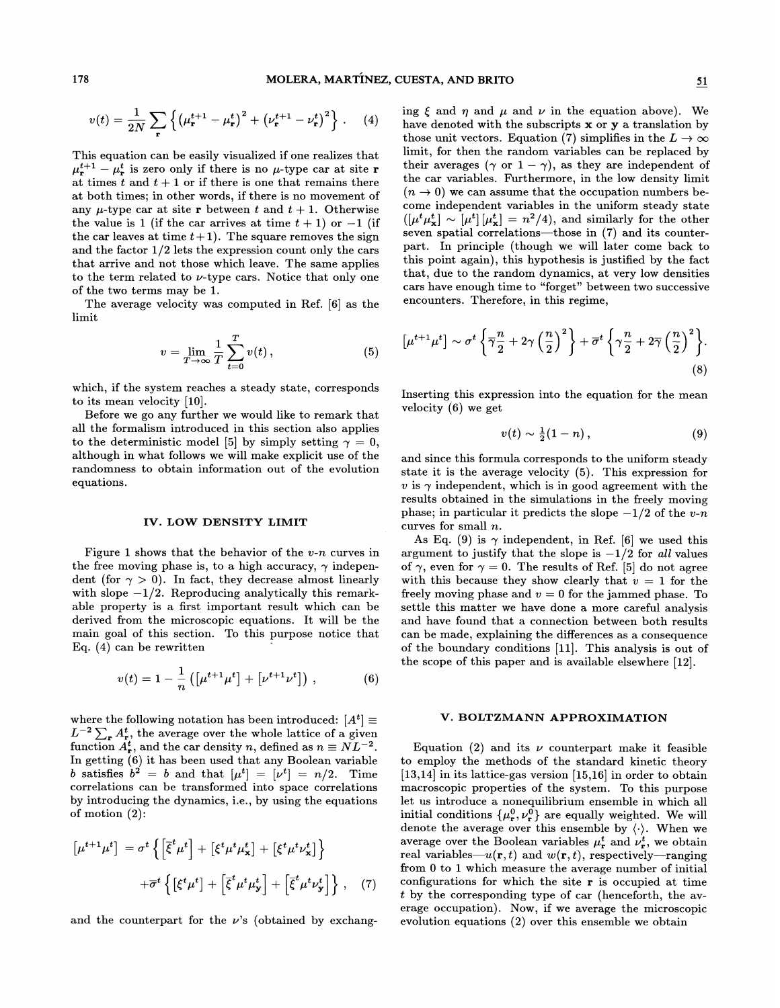$$
v(t) = \frac{1}{2N} \sum_{\mathbf{r}} \left\{ \left( \mu_{\mathbf{r}}^{t+1} - \mu_{\mathbf{r}}^{t} \right)^2 + \left( \nu_{\mathbf{r}}^{t+1} - \nu_{\mathbf{r}}^{t} \right)^2 \right\} . \tag{4}
$$

This equation can be easily visualized if one realizes that  $\mu_{\mathbf{r}}^{t+1} - \mu_{\mathbf{r}}^{t}$  is zero only if there is no  $\mu$ -type car at site r at times  $t$  and  $t + 1$  or if there is one that remains there at both times; in other words, if there is no movement of any  $\mu$ -type car at site **r** between t and  $t + 1$ . Otherwise the value is 1 (if the car arrives at time  $t + 1$ ) or  $-1$  (if the car leaves at time  $t+1$ ). The square removes the sign and the factor 1/2 lets the expression count only the cars that arrive and not those which leave. The same applies to the term related to  $\nu$ -type cars. Notice that only one of the two terms may be 1.

The average velocity was computed in Ref. [6] as the limit

$$
v = \lim_{T \to \infty} \frac{1}{T} \sum_{t=0}^{T} v(t) , \qquad (5)
$$

which, if the system reaches a steady state, corresponds to its mean velocity [10].

Before we go any further we would like to remark that all the formalism introduced in this section also applies to the deterministic model [5] by simply setting  $\gamma = 0$ , although in what follows we will make explicit use of the randomness to obtain information out of the evolution equations.

### IV. LOW DENSITY LIMIT

Figure 1 shows that the behavior of the  $v$ -n curves in the free moving phase is, to a high accuracy,  $\gamma$  independent (for  $\gamma > 0$ ). In fact, they decrease almost linearly with slope  $-1/2$ . Reproducing analytically this remarkable property is a first important result which can be derived from the microscopic equations. It will be the main goal of this section. To this purpose notice that Eq. (4) can be rewritten

$$
v(t) = 1 - \frac{1}{n} \left( \left[ \mu^{t+1} \mu^t \right] + \left[ \nu^{t+1} \nu^t \right] \right) , \tag{6}
$$

where the following notation has been introduced:  $[A^t] \equiv$  $L^{-2} \sum_{\mathbf{r}} A_{\mathbf{r}}^t$ , the average over the whole lattice of a given function  $A_{\mathbf{r}}^{t}$ , and the car density n, defined as  $n\equiv NL^{-2}$ . In getting (6) it has been used that any Boolean variable b satisfies  $b^2 = b$  and that  $[\mu^t] = [\nu^t] = n/2$ . Time correlations can be transformed into space correlations by introducing the dynamics, i.e., by using the equations of motion (2):

$$
\begin{aligned}\n\left[\mu^{t+1}\mu^t\right] \n&= \sigma^t \left\{ \left[\overline{\xi}^t \mu^t\right] + \left[\xi^t \mu^t \mu^t_{\mathbf{x}}\right] + \left[\xi^t \mu^t \nu^t_{\mathbf{x}}\right] \right\} \\
&\quad + \overline{\sigma}^t \left\{ \left[\xi^t \mu^t\right] + \left[\overline{\xi}^t \mu^t \mu^t_{\mathbf{y}}\right] + \left[\overline{\xi}^t \mu^t \nu^t_{\mathbf{y}}\right] \right\},\n\end{aligned} \tag{7}
$$

and the counterpart for the  $\nu$ 's (obtained by exchang-

ing  $\xi$  and  $\eta$  and  $\mu$  and  $\nu$  in the equation above). We have denoted with the subscripts  $x$  or  $y$  a translation by those unit vectors. Equation (7) simplifies in the  $L \to \infty$ limit, for then the random variables can be replaced by their averages ( $\gamma$  or  $1 - \gamma$ ), as they are independent of the car variables. Furthermore, in the low density limit  $(n \to 0)$  we can assume that the occupation numbers become independent variables in the uniform steady state  $[\mu^t \mu^t_{\mathbf{x}}] \sim [\mu^t] [\mu^t_{\mathbf{x}}] = n^2/4$ , and similarly for the other seven spatial correlations—those in  $(7)$  and its counterpart. In principle (though we will later come back to this point again), this hypothesis is justified by the fact that, due to the random dynamics, at very low densities cars have enough time to "forget" between two successive encounters. Therefore, in this regime,

$$
\left[\mu^{t+1}\mu^t\right] \sim \sigma^t \left\{\overline{\gamma}\frac{n}{2} + 2\gamma \left(\frac{n}{2}\right)^2\right\} + \overline{\sigma}^t \left\{\gamma\frac{n}{2} + 2\overline{\gamma} \left(\frac{n}{2}\right)^2\right\}.
$$
\n(8)

Inserting this expression into the equation for the mean velocity (6) we get

$$
v(t) \sim \frac{1}{2}(1-n) , \qquad (9)
$$

and since this formula corresponds to the uniform steady state it is the average velocity (5). This expression for  $v$  is  $\gamma$  independent, which is in good agreement with the results obtained in the simulations in the freely moving  $\nu$  is  $\gamma$  independent, which is in good agreement with the results obtained in the simulations in the freely moving phase; in particular it predicts the slope  $-1/2$  of the  $v$ -n curves for small n.

As Eq. (9) is  $\gamma$  independent, in Ref. [6] we used this argument to justify that the slope is  $-1/2$  for all values of  $\gamma$ , even for  $\gamma = 0$ . The results of Ref. [5] do not agree with this because they show clearly that  $v = 1$  for the freely moving phase and  $v = 0$  for the jammed phase. To settle this matter we have done a more careful analysis and have found that a connection between both results can be made, explaining the differences as a consequence of the boundary conditions [11]. This analysis is out of the scope of this paper and is available elsewhere [12].

## V. BOLTZMANN APPROXIMATION

Equation (2) and its  $\nu$  counterpart make it feasible to employ the methods of the standard kinetic theory [13,14] in its lattice-gas version [15,16] in order to obtain macroscopic properties of the system. To this purpose let us introduce a nonequilibrium ensemble in which all initial conditions  $\{\mu_{\mathbf{r}}^0, \nu_{\mathbf{r}}^0\}$  are equally weighted. We will denote the average over this ensemble by  $\langle \cdot \rangle$ . When we average over the Boolean variables  $\mu_r^t$  and  $\nu_r^t$ , we obtain real variables— $u(\mathbf{r}, t)$  and  $w(\mathbf{r}, t)$ , respectively—ranging from 0 to 1 which measure the average number of initial configurations for which the site  $r$  is occupied at time t by the corresponding type of car (henceforth, the average occupation). Now, if we average the microscopic evolution equations (2) over this ensemble we obtain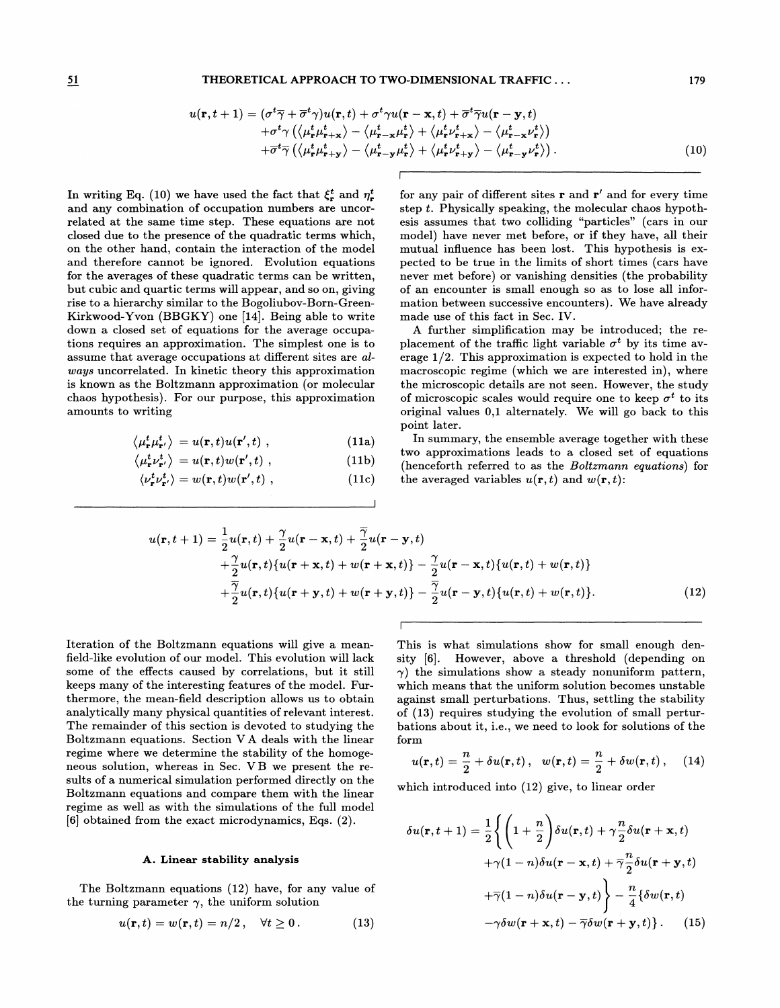## 51 THEORETICAL APPROACH TO TWO-DIMENSIONAL TRAFFIC... 179

$$
u(\mathbf{r},t+1) = (\sigma^t \overline{\gamma} + \overline{\sigma}^t \gamma) u(\mathbf{r},t) + \sigma^t \gamma u(\mathbf{r} - \mathbf{x},t) + \overline{\sigma}^t \overline{\gamma} u(\mathbf{r} - \mathbf{y},t) + \sigma^t \gamma \left( \langle \mu^t_{\mathbf{r}} \mu^t_{\mathbf{r}+\mathbf{x}} \rangle - \langle \mu^t_{\mathbf{r}-\mathbf{x}} \mu^t_{\mathbf{r}} \rangle + \langle \mu^t_{\mathbf{r}} \nu^t_{\mathbf{r}+\mathbf{x}} \rangle - \langle \mu^t_{\mathbf{r}-\mathbf{x}} \nu^t_{\mathbf{r}} \rangle \right) + \overline{\sigma}^t \overline{\gamma} \left( \langle \mu^t_{\mathbf{r}} \mu^t_{\mathbf{r}+\mathbf{y}} \rangle - \langle \mu^t_{\mathbf{r}-\mathbf{y}} \mu^t_{\mathbf{r}} \rangle + \langle \mu^t_{\mathbf{r}} \nu^t_{\mathbf{r}+\mathbf{y}} \rangle - \langle \mu^t_{\mathbf{r}-\mathbf{y}} \nu^t_{\mathbf{r}} \rangle \right).
$$
(10)

In writing Eq. (10) we have used the fact that  $\xi_r^t$  and  $\eta_r^t$ and any combination of occupation numbers are uncorrelated at the same time step. These equations are not closed due to the presence of the quadratic terms which, on the other hand, contain the interaction of the model and therefore cannot be ignored. Evolution equations for the averages of these quadratic terms can be written, but cubic and quartic terms will appear, and so on, giving rise to a hierarchy similar to the Bogoliubov-Born-Green-Kirkwood-Yvon (BBGKY) one [14]. Being able to write down a closed set of equations for the average occupations requires an approximation. The simplest one is to assume that average occupations at different sites are always uncorrelated. In kinetic theory this approximation is known as the Boltzmann approximation (or molecular chaos hypothesis). For our purpose, this approximation amounts to writing

$$
\langle \mu_{\mathbf{r}}^t \mu_{\mathbf{r}'}^t \rangle = u(\mathbf{r}, t) u(\mathbf{r}', t) , \qquad (11a)
$$

$$
\langle \mu_{\mathbf{r}}^t \nu_{\mathbf{r}'}^t \rangle = u(\mathbf{r}, t) w(\mathbf{r}', t) , \qquad (11b)
$$

$$
\langle \nu_{\mathbf{r}}^t \nu_{\mathbf{r}'}^t \rangle = w(\mathbf{r}, t) w(\mathbf{r}', t) , \qquad (11c)
$$

for any pair of different sites  $\mathbf r$  and  $\mathbf r'$  and for every time step  $t$ . Physically speaking, the molecular chaos hypothesis assumes that two colliding "particles" (cars in our model) have never met before, or if they have, all their mutual influence has been lost. This hypothesis is expected to be true in the limits of short times (cars have never met before) or vanishing densities (the probability of an encounter is small enough so as to lose all information between successive encounters). We have already made use of this fact in Sec. IV.

A further simplification may be introduced; the replacement of the traffic light variable  $\sigma^t$  by its time average 1/2. This approximation is expected to hold in the macroscopic regime (which we are interested in), where the microscopic details are not seen. However, the study of microscopic scales would require one to keep  $\sigma^t$  to its original values 0,1 alternately. We will go back to this point later.

In summary, the ensemble average together with these two approximations leads to a closed set of equations (henceforth referred to as the Boltzmann equations) for the averaged variables  $u(\mathbf{r}, t)$  and  $w(\mathbf{r}, t)$ :

$$
u(\mathbf{r},t+1) = \frac{1}{2}u(\mathbf{r},t) + \frac{\gamma}{2}u(\mathbf{r}-\mathbf{x},t) + \frac{\overline{\gamma}}{2}u(\mathbf{r}-\mathbf{y},t) + \frac{\gamma}{2}u(\mathbf{r},t)\{u(\mathbf{r}+\mathbf{x},t) + w(\mathbf{r}+\mathbf{x},t)\} - \frac{\gamma}{2}u(\mathbf{r}-\mathbf{x},t)\{u(\mathbf{r},t) + w(\mathbf{r},t)\} + \frac{\overline{\gamma}}{2}u(\mathbf{r},t)\{u(\mathbf{r}+\mathbf{y},t) + w(\mathbf{r}+\mathbf{y},t)\} - \frac{\overline{\gamma}}{2}u(\mathbf{r}-\mathbf{y},t)\{u(\mathbf{r},t) + w(\mathbf{r},t)\}.
$$
 (12)

Iteration of the Boltzmann equations will give a meanfield-like evolution of our model. This evolution will lack some of the efFects caused by correlations, but it still keeps many of the interesting features of the model. Furthermore, the mean-field description allows us to obtain analytically many physical quantities of relevant interest. The remainder of this section is devoted to studying the Boltzmann equations. Section V A deals with the linear regime where we determine the stability of the homogeneous solution, whereas in Sec. V B we present the results of a numerical simulation performed directly on the Boltzmann equations and compare them with the linear regime as well as with the simulations of the full model [6] obtained from the exact microdynamics, Eqs. (2).

## A. Linear stability analysis

The Boltzmann equations (12) have, for any value of the turning parameter  $\gamma$ , the uniform solution

$$
u(\mathbf{r},t) = w(\mathbf{r},t) = n/2, \quad \forall t \ge 0.
$$
 (13)

This is what simulations show for small enough density [6]. However, above a threshold (depending on  $\gamma$ ) the simulations show a steady nonuniform pattern, which means that the uniform solution becomes unstable against small perturbations. Thus, settling the stability of (13) requires studying the evolution of small perturbations about it, i.e., we need to look for solutions of the form

$$
u(\mathbf{r},t) = \frac{n}{2} + \delta u(\mathbf{r},t), \quad w(\mathbf{r},t) = \frac{n}{2} + \delta w(\mathbf{r},t), \quad (14)
$$

which introduced into (12) give, to linear order

$$
\delta u(\mathbf{r}, t+1) = \frac{1}{2} \Biggl\{ \Biggl( 1 + \frac{n}{2} \Biggr) \delta u(\mathbf{r}, t) + \gamma \frac{n}{2} \delta u(\mathbf{r} + \mathbf{x}, t) + \gamma (1 - n) \delta u(\mathbf{r} - \mathbf{x}, t) + \overline{\gamma} \frac{n}{2} \delta u(\mathbf{r} + \mathbf{y}, t) + \overline{\gamma} (1 - n) \delta u(\mathbf{r} - \mathbf{y}, t) \Biggr\} - \frac{n}{4} \{ \delta w(\mathbf{r}, t) - \gamma \delta w(\mathbf{r} + \mathbf{x}, t) - \overline{\gamma} \delta w(\mathbf{r} + \mathbf{y}, t) \} . \tag{15}
$$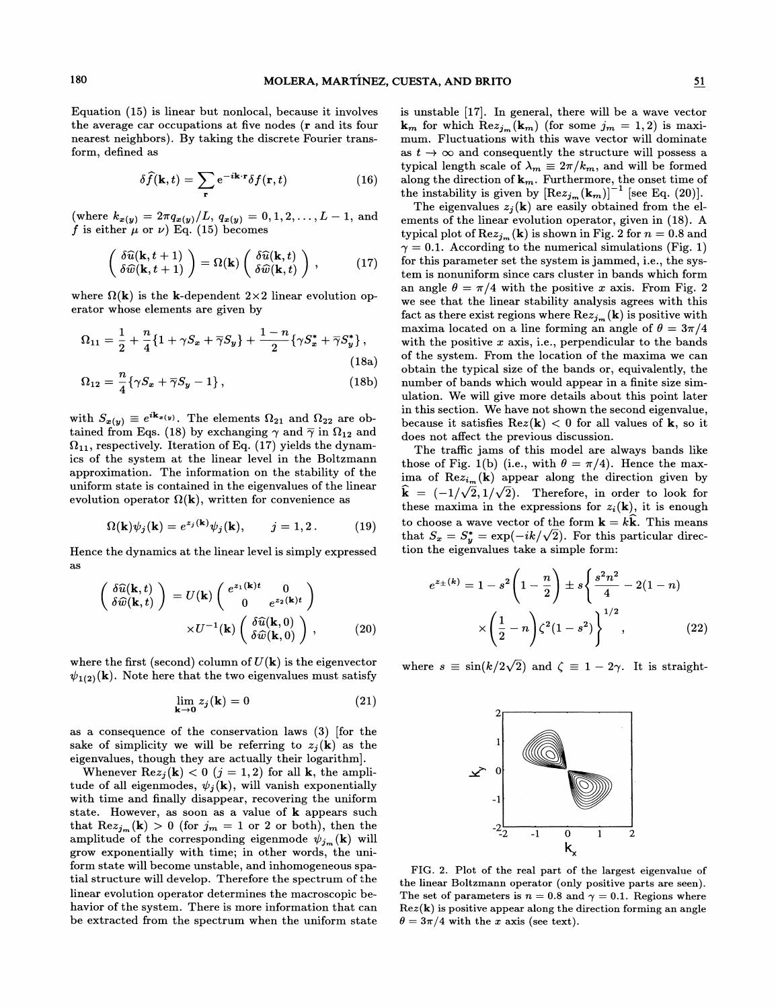Equation (15) is linear but nonlocal, because it involves the average car occupations at five nodes (r and its four nearest neighbors). By taking the discrete Fourier transform, defined as

$$
\delta \widehat{f}(\mathbf{k},t) = \sum_{\mathbf{r}} e^{-i\mathbf{k}\cdot\mathbf{r}} \delta f(\mathbf{r},t)
$$
 (16)

 $(\text{where } k_{x(y)} = 2\pi \frac{q_x(y)}{L}, \frac{q_{x(y)}}{q_{x(y)}} = 0, 1, 2, \ldots, L-1, \text{ and }$ f is either  $\mu$  or  $\nu$ ) Eq. (15) becomes

$$
\begin{pmatrix} \delta \widehat{u}(\mathbf{k}, t+1) \\ \delta \widehat{w}(\mathbf{k}, t+1) \end{pmatrix} = \Omega(\mathbf{k}) \begin{pmatrix} \delta \widehat{u}(\mathbf{k}, t) \\ \delta \widehat{w}(\mathbf{k}, t) \end{pmatrix}, \qquad (17)
$$

where  $\Omega(\mathbf{k})$  is the **k**-dependent  $2 \times 2$  linear evolution operator whose elements are given by

$$
\Omega_{11} = \frac{1}{2} + \frac{n}{4} \{ 1 + \gamma S_x + \overline{\gamma} S_y \} + \frac{1-n}{2} \{ \gamma S_x^* + \overline{\gamma} S_y^* \},
$$
\n(18a)

$$
\Omega_{12} = \frac{n}{4} \{ \gamma S_x + \overline{\gamma} S_y - 1 \},\qquad(18b)
$$

with  $S_{x(y)} \equiv e^{i\mathbf{k}_x(y)}$ . The elements  $\Omega_{21}$  and  $\Omega_{22}$  are obtained from Eqs. (18) by exchanging  $\gamma$  and  $\overline{\gamma}$  in  $\Omega_{12}$  and  $\Omega_{11}$ , respectively. Iteration of Eq. (17) yields the dynamics of the system at the linear level in the Boltzmann approximation. The information on the stability of the uniform state is contained in the eigenvalues of the linear evolution operator  $\Omega(\mathbf{k})$ , written for convenience as

$$
\Omega(\mathbf{k})\psi_j(\mathbf{k}) = e^{z_j(\mathbf{k})}\psi_j(\mathbf{k}), \qquad j = 1, 2.
$$
 (19)

Hence the dynamics at the linear level is simply expressed as

$$
\begin{pmatrix}\n\delta \widehat{u}(\mathbf{k},t) \\
\delta \widehat{w}(\mathbf{k},t)\n\end{pmatrix} = U(\mathbf{k}) \begin{pmatrix}\ne^{z_1(\mathbf{k})t} & 0 \\
0 & e^{z_2(\mathbf{k})t}\n\end{pmatrix}\n\times U^{-1}(\mathbf{k}) \begin{pmatrix}\n\delta \widehat{u}(\mathbf{k},0) \\
\delta \widehat{w}(\mathbf{k},0)\n\end{pmatrix},
$$
\n(20)

where the first (second) column of  $U(\mathbf{k})$  is the eigenvector  $\psi_{1(2)}(\mathbf{k})$ . Note here that the two eigenvalues must satisfy

$$
\lim_{\mathbf{k}\to\mathbf{0}}z_j(\mathbf{k})=0
$$
\n(21)

as a consequence of the conservation laws (3) [for the sake of simplicity we will be referring to  $z_j(\mathbf{k})$  as the eigenvalues, though they are actually their logarithm].

Whenever  $\text{Re} z_i(\mathbf{k}) < 0$   $(j = 1, 2)$  for all **k**, the amplitude of all eigenmodes,  $\psi_i(\mathbf{k})$ , will vanish exponentially with time and finally disappear, recovering the uniform state. However, as soon as a value of k appears such that  $\text{Re}z_{j_m}(\mathbf{k}) > 0$  (for  $j_m = 1$  or 2 or both), then the amplitude of the corresponding eigenmode  $\psi_{j_m}(\mathbf{k})$  will grow exponentially with time; in other words, the uniform state will become unstable, and inhomogeneous spatial structure will develop. Therefore the spectrum of the linear evolution operator determines the macroscopic behavior of the system. There is more information that can be extracted from the spectrum when the uniform state

is unstable [17]. In general, there will be a wave vector  $k_m$  for which  $Rez_{j_m}(\mathbf{k}_m)$  (for some  $j_m = 1, 2$ ) is maximum. Fluctuations with this wave vector will dominate as  $t \to \infty$  and consequently the structure will possess a  $\kappa_m$  for which  $\text{Re}z_{j_m}(\mathbf{k}_m)$  (for some  $j_m = 1, 2$ ) is maximum. Fluctuations with this wave vector will dominate as  $t \to \infty$  and consequently the structure will possess a sypical length scale of  $\lambda_m \equiv 2\pi/k_m$ , and the instability is given by  $\left[ \text{Re} z_{j_m}(\mathbf{k}_m) \right]^{-1}$  [see Eq. (20)].

The eigenvalues  $z_i(\mathbf{k})$  are easily obtained from the elements of the linear evolution operator, given in (18). A typical plot of  $\text{Re} z_{j_m}(\mathbf{k})$  is shown in Fig. 2 for  $n = 0.8$  and  $\gamma = 0.1$ . According to the numerical simulations (Fig. 1) for this parameter set the system is jammed, i.e., the system is nonuniform since cars cluster in bands which form an angle  $\theta = \pi/4$  with the positive x axis. From Fig. 2 we see that the linear stability analysis agrees with this fact as there exist regions where  $\text{Re}z_{j_m}(\mathbf{k})$  is positive with maxima located on a line forming an angle of  $\theta = 3\pi/4$ with the positive  $x$  axis, i.e., perpendicular to the bands of the system. From the location of the maxima we can obtain the typical size of the bands or, equivalently, the number of bands which would appear in a finite size simulation. We will give more details about this point later in this section. We have not shown the second eigenvalue, because it satisfies  $\text{Re}z(\mathbf{k}) < 0$  for all values of **k**, so it does not affect the previous discussion.

The traffic jams of this model are always bands like those of Fig. 1(b) (i.e., with  $\theta = \pi/4$ ). Hence the maxima of  $\text{Re}z_{i_m}(\mathbf{k})$  appear along the direction given by  $\hat{\mathbf{k}} = (-1/\sqrt{2}, 1/\sqrt{2})$ . Therefore, in order to look for these maxima in the expressions for  $z_i(\mathbf{k})$ , it is enough to choose a wave vector of the form  $\mathbf{k} = k\hat{\mathbf{k}}$ . This means that  $S_x = S_y^* = \exp(-ik/\sqrt{2})$ . For this particular direction the eigenvalues take a simple form:

$$
e^{z_{\pm}(k)} = 1 - s^2 \left(1 - \frac{n}{2}\right) \pm s \left\{ \frac{s^2 n^2}{4} - 2(1 - n) \right. \\ \times \left(\frac{1}{2} - n\right) \zeta^2 (1 - s^2) \right\}^{1/2}, \tag{22}
$$

where  $s \equiv \sin(k/2\sqrt{2})$  and  $\zeta \equiv 1 - 2\gamma$ . It is straight-



FIG. 2. Plot of the real part of the largest eigenvalue of the linear Boltzmann operator (only positive parts are seen). The set of parameters is  $n = 0.8$  and  $\gamma = 0.1$ . Regions where  $Rez(\mathbf{k})$  is positive appear along the direction forming an angle  $\theta = 3\pi/4$  with the x axis (see text).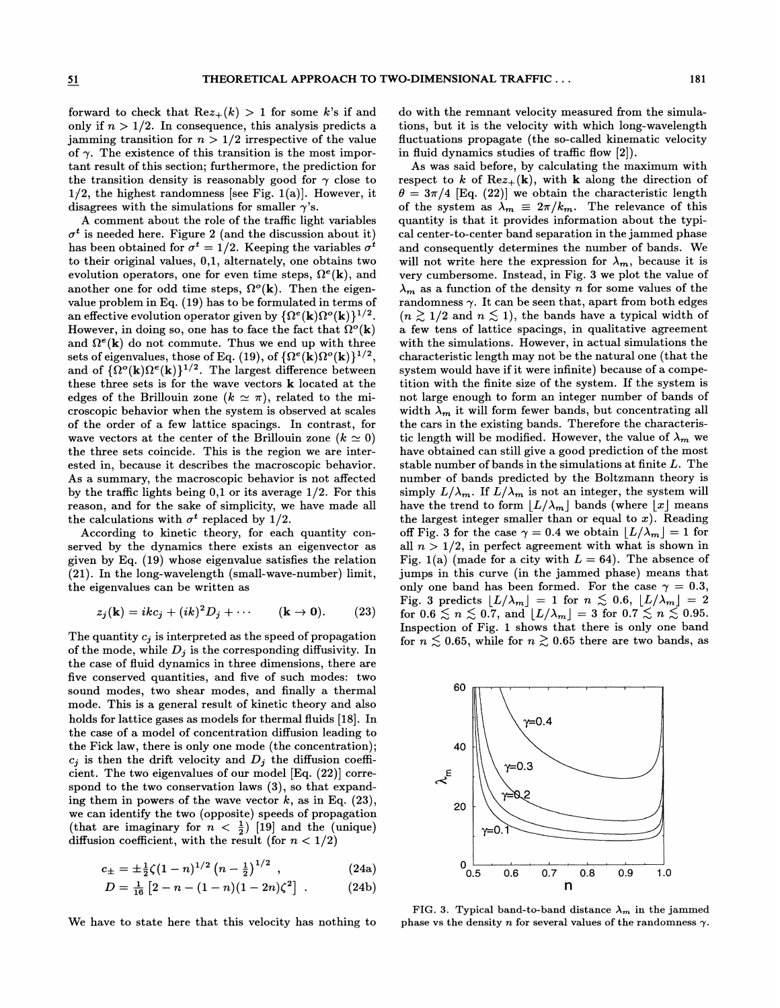forward to check that  $Re z_{+}(k) > 1$  for some k's if and only if  $n > 1/2$ . In consequence, this analysis predicts a jamming transition for  $n > 1/2$  irrespective of the value of  $\gamma$ . The existence of this transition is the most important result of this section; furthermore, the prediction for the transition density is reasonably good for  $\gamma$  close to  $1/2$ , the highest randomness [see Fig. 1(a)]. However, it disagrees with the simulations for smaller  $\gamma$ 's.

A comment about the role of the traffic light variables  $\sigma^t$  is needed here. Figure 2 (and the discussion about it) has been obtained for  $\sigma^t = 1/2$ . Keeping the variables  $\sigma^t$ to-their original values, 0,1, alternately, one obtains two evolution operators, one for even time steps,  $\Omega^e(\mathbf{k})$ , and another one for odd time steps,  $\Omega^o(\mathbf{k})$ . Then the eigenvalue problem in Eq. (19) has to be formulated in terms of an effective evolution operator given by  $\{\Omega^e(\mathbf{k})\Omega^o(\mathbf{k})\}^{1/2}$ However, in doing so, one has to face the fact that  $\Omega^o(\mathbf{k})$ and  $\Omega^e(\mathbf{k})$  do not commute. Thus we end up with three sets of eigenvalues, those of Eq. (19), of  $\{\Omega^e(\mathbf{k})\Omega^o(\mathbf{k})\}^{1/2}$ , and of  $\{\Omega^o(\mathbf{k})\Omega^e(\mathbf{k})\}^{1/2}$ . The largest difference between these three sets is for the wave vectors k located at the edges of the Brillouin zone  $(k \simeq \pi)$ , related to the microscopic behavior when the system is observed at scales of the order of a few lattice spacings. In contrast, for wave vectors at the center of the Brillouin zone  $(k \simeq 0)$ the three sets coincide. This is the region we are interested in, because it describes the macroscopic behavior. As a summary, the macroscopic behavior is not affected by the traffic lights being  $0,1$  or its average  $1/2$ . For this reason, and for the sake of simplicity, we have made all the calculations with  $\sigma^t$  replaced by 1/2.

According to kinetic theory, for each quantity conserved by the dynamics there exists an eigenvector as given by Eq. (19) whose eigenvalue satisfies the relation (21). In the long-wavelength (small-wave-number) limit, the eigenvalues can be written as

$$
z_j(\mathbf{k}) = ikc_j + (ik)^2 D_j + \cdots \qquad (\mathbf{k} \to \mathbf{0}). \qquad (23)
$$

The quantity  $c_j$  is interpreted as the speed of propagation of the mode, while  $D_j$  is the corresponding diffusivity. In the case of fluid dynamics in three dimensions, there are five conserved quantities, and five of such modes: two sound modes, two shear modes, and finally a thermal mode. This is a general result of kinetic theory and also holds for lattice gases as models for thermal fluids [18]. In the case of a model of concentration diffusion leading to the Fick law, there is only one mode (the concentration);  $c_i$  is then the drift velocity and  $D_i$  the diffusion coefficient. The two eigenvalues of our model [Eq. (22)) correspond to the two conservation laws (3), so that expanding them in powers of the wave vector  $k$ , as in Eq. (23), we can identify the two (opposite) speeds of propagation (that are imaginary for  $n < \frac{1}{2}$ ) [19] and the (unique) diffusion coefficient, with the result (for  $n < 1/2$ )

$$
c_{\pm} = \pm \frac{1}{2} \zeta (1 - n)^{1/2} \left( n - \frac{1}{2} \right)^{1/2} , \qquad (24a)
$$

$$
D = \frac{1}{16} \left[ 2 - n - (1 - n)(1 - 2n)\zeta^2 \right] \ . \tag{24b}
$$

We have to state here that this velocity has nothing to

do with the remnant velocity measured from the simulations, but it is the velocity with which long-wavelength fluctuations propagate (the so-called kinematic velocity in fluid dynamics studies of traffic flow  $[2]$ ).

As was said before, by calculating the maximum with respect to k of  $\text{Re}z_{+}(\mathbf{k})$ , with k along the direction of  $\theta = 3\pi/4$  [Eq. (22)] we obtain the characteristic length of the system as  $\lambda_m \equiv 2\pi/k_m$ . The relevance of this quantity is that it provides information about the typical center-to-center band separation in the jammed phase and consequently determines the number of bands. We will not write here the expression for  $\lambda_m$ , because it is very cumbersome. Instead, in Fig. 3 we plot the value of  $\lambda_m$  as a function of the density n for some values of the randomness  $\gamma$ . It can be seen that, apart from both edges  $(n \geq 1/2$  and  $n \leq 1)$ , the bands have a typical width of a few tens of lattice spacings, in qualitative agreement with the simulations. However, in actual simulations the characteristic length may not be the natural one (that the system would have if it were infinite) because of a competition with the finite size of the system. If the system is not large enough to form an integer number of bands of width  $\lambda_m$  it will form fewer bands, but concentrating all the cars in the existing bands. Therefore the characteristic length will be modified. However, the value of  $\lambda_m$  we have obtained can still give a good prediction of the most stable number of bands in the simulations at finite  $L$ . The number of bands predicted by the Boltzmann theory is simply  $L/\lambda_m$ . If  $L/\lambda_m$  is not an integer, the system will have the trend to form  $\lfloor L/\lambda_m \rfloor$  bands (where  $\lfloor x \rfloor$  means the largest integer smaller than or equal to  $x$ ). Reading off Fig. 3 for the case  $\gamma = 0.4$  we obtain  $\lfloor L/\lambda_m \rfloor = 1$  for all  $n > 1/2$ , in perfect agreement with what is shown in Fig. 1(a) (made for a city with  $L = 64$ ). The absence of jumps in this curve (in the jammed phase) means that only one band has been formed. For the case  $\gamma = 0.3$ , Fig. 3 predicts  $[L/\lambda_m] = 1$  for  $n \lesssim 0.6$ ,  $[L/\lambda_m] = 2$ for  $0.6 \le n \le 0.7$ , and  $\lfloor L/\lambda_m \rfloor = 3$  for  $0.7 \le n \le 0.95$ . Inspection of Fig. 1 shows that there is only one band for  $n \leq 0.65$ , while for  $n \geq 0.65$  there are two bands, as



FIG. 3. Typical band-to-band distance  $\lambda_m$  in the jammed phase vs the density n for several values of the randomness  $\gamma$ .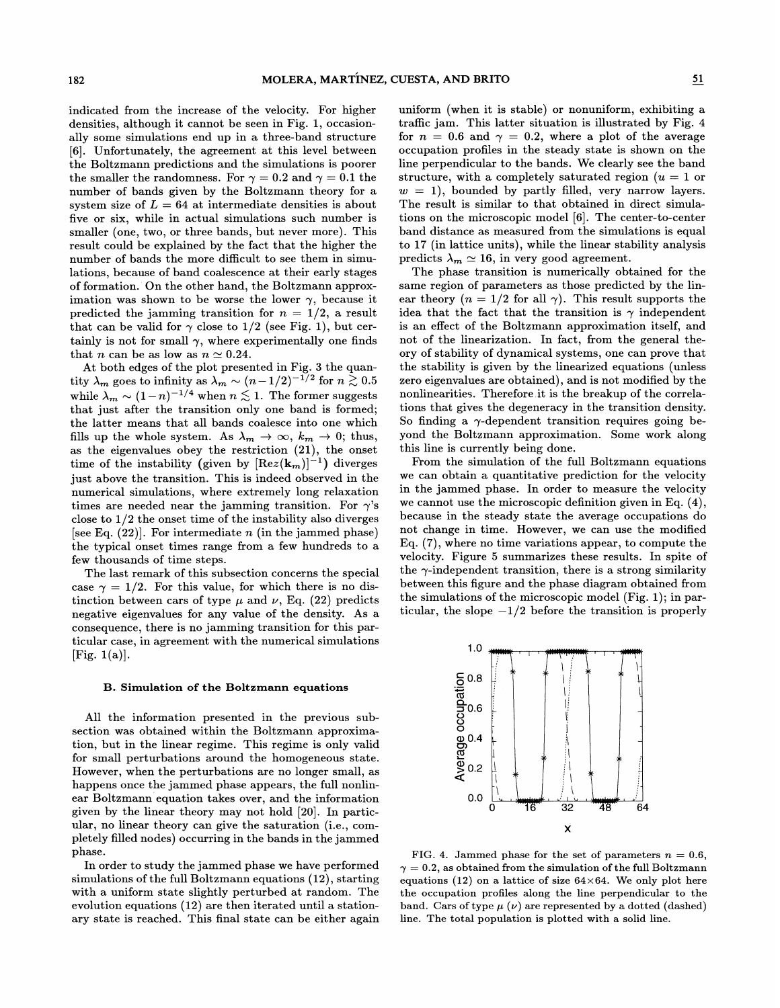indicated from the increase of the velocity. For higher densities, although it cannot be seen in Fig. 1, occasionally some simulations end up in a three-band structure [6]. Unfortunately, the agreement at this level between the Boltzmann predictions and the simulations is poorer the smaller the randomness. For  $\gamma = 0.2$  and  $\gamma = 0.1$  the number of bands given by the Boltzmann theory for a system size of  $L = 64$  at intermediate densities is about five or six, while in actual simulations such number is smaller (one, two, or three bands, but never more). This result could be explained by the fact that the higher the number of bands the more difficult to see them in simulations, because of band coalescence at their early stages of formation. On the other hand, the Boltzmann approximation was shown to be worse the lower  $\gamma$ , because it predicted the jamming transition for  $n = 1/2$ , a result that can be valid for  $\gamma$  close to 1/2 (see Fig. 1), but certainly is not for small  $\gamma$ , where experimentally one finds that *n* can be as low as  $n \approx 0.24$ .

At both edges of the plot presented in Fig. 3 the quantity  $\lambda_m$  goes to infinity as  $\lambda_m \sim (n - 1/2)^{-1/2}$  for  $n \gtrsim 0.5$ while  $\lambda_m \sim (1-n)^{-1/4}$  when  $n \lesssim 1$ . The former suggests that just after the transition only one band is formed; the latter means that all bands coalesce into one which fills up the whole system. As  $\lambda_m \to \infty$ ,  $k_m \to 0$ ; thus, as the eigenvalues obey the restriction (21), the onset time of the instability (given by  $[{\rm Re} z({\bf k}_m)]^{-1}$ ) diverges just above the transition. This is indeed observed in the numerical simulations, where extremely long relaxation times are needed near the jamming transition. For  $\gamma$ 's close to 1/2 the onset time of the instability also diverges [see Eq.  $(22)$ ]. For intermediate *n* (in the jammed phase) the typical onset times range from a few hundreds to a few thousands of time steps.

The last remark of this subsection concerns the special case  $\gamma = 1/2$ . For this value, for which there is no distinction between cars of type  $\mu$  and  $\nu$ , Eq. (22) predicts negative eigenvalues for any value of the density. As a consequence, there is no jamming transition for this particular case, in agreement with the numerical simulations  $[Fig. 1(a)].$ 

# B. Simulation of the Boltzmann equations

All the information presented in the previous subsection was obtained within the Boltzmann approximation, but in the linear regime. This regime is only valid for small perturbations around the homogeneous state. However, when the perturbations are no longer small, as happens once the jammed phase appears, the full nonlinear Boltzmann equation takes over, and the information given by the linear theory may not hold [20]. In particular, no linear theory can give the saturation (i.e., completely filled nodes) occurring in the bands in the jammed phase.

In order to study the jammed phase we have performed  $simulations of the full Boltzmann equations (12), starting$ with a uniform state slightly perturbed at random. The evolution equations (12) are then iterated until a stationary state is reached. This final state can be either again

uniform (when it is stable) or nonuniform, exhibiting a traffic jam. This latter situation is illustrated by Fig. 4 for  $n = 0.6$  and  $\gamma = 0.2$ , where a plot of the average occupation profiles in the steady state is shown on the line perpendicular to the bands. We clearly see the band structure, with a completely saturated region  $(u = 1)$  or  $w = 1$ ), bounded by partly filled, very narrow layers. The result is similar to that obtained in direct simulations on the microscopic model [6]. The center-to-center band distance as measured from the simulations is equal to 17 (in lattice units), while the linear stability analysis predicts  $\lambda_m \simeq 16$ , in very good agreement.

The phase transition is numerically obtained for the same region of parameters as those predicted by the linear theory  $(n = 1/2$  for all  $\gamma$ ). This result supports the idea that the fact that the transition is  $\gamma$  independent is an effect of the Boltzmann approximation itself, and not of the linearization. In fact, from the general theory of stability of dynamical systems, one can prove that the stability is given by the linearized equations (unless zero eigenvalues are obtained), and is not modified by the nonlinearities. Therefore. it is the breakup of the correlations that gives the degeneracy in the transition density. So finding a  $\gamma$ -dependent transition requires going beyond the Boltzmann approximation. Some work along this line is currently being done.

From the simulation of the full Boltzmann equations we can obtain a quantitative prediction for the velocity in the jammed phase. In order to measure the velocity we cannot use the microscopic definition given in Eq. (4), because in the steady state the average occupations do not change in time. However, we can use the modified Eq. (7), where no time variations appear, to compute the velocity. Figure 5 summarizes these results. In spite of the  $\gamma$ -independent transition, there is a strong similarity between this figure and the phase diagram obtained from the simulations of the microscopic model (Fig. 1); in particular, the slope  $-1/2$  before the transition is properly



FIG. 4. Jammed phase for the set of parameters  $n = 0.6$ ,  $\gamma = 0.2$ , as obtained from the simulation of the full Boltzmann equations (12) on a lattice of size  $64\times64$ . We only plot here the occupation profiles along the line perpendicular to the band. Cars of type  $\mu(\nu)$  are represented by a dotted (dashed) line. The total population is plotted with a solid line.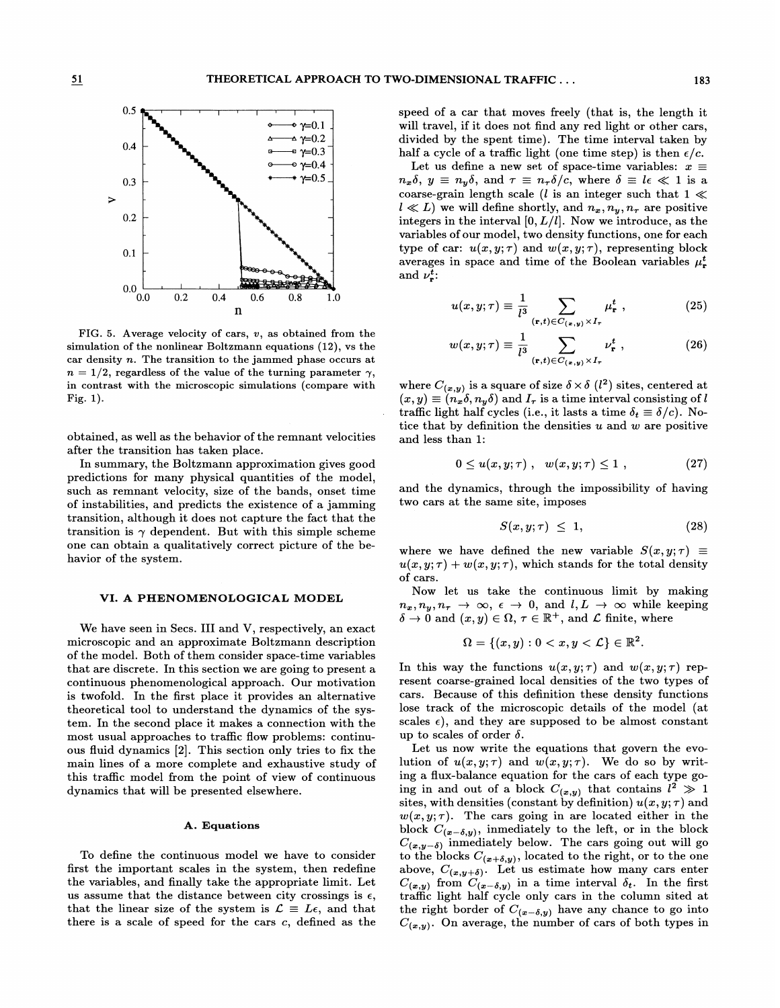

FIG. 5. Average velocity of cars,  $v$ , as obtained from the simulation of the nonlinear Boltzmann equations (12), vs the car density  $n$ . The transition to the jammed phase occurs at  $n = 1/2$ , regardless of the value of the turning parameter  $\gamma$ , in contrast with the microscopic simulations (compare with Fig. 1).

obtained, as well as the behavior of the remnant velocities after the transition has taken place.

In summary, the Boltzmann approximation gives good predictions for many physical quantities of the model, such as remnant velocity, size of the bands, onset time of instabilities, and predicts the existence of a jamming transition, although it does not capture the fact that the transition is  $\gamma$  dependent. But with this simple scheme one can obtain a qualitatively correct picture of the behavior of the system.

### VI. A PHENOMENOLOGICAL MODEL

We have seen in Secs. III and V, respectively, an exact microscopic and an approximate Boltzmann description of the model. Both of them consider space-time variables that are discrete. In this section we are going to present a continuous phenomenological approach. Our motivation is twofold. In the first place it provides an alternative theoretical tool to understand the dynamics of the system. In the second place it makes a connection with the most usual approaches to traffic flow problems: continuous ffuid dynamics [2]. This section only tries to fix the main lines of a more complete and exhaustive study of this traffic model from the point of view of continuous dynamics that will be presented elsewhere.

## A. Equations

To define the continuous model we have to consider first the important scales in the system, then redefine the variables, and finally take the appropriate limit. Let us assume that the distance between city crossings is  $\epsilon$ , that the linear size of the system is  $\mathcal{L} \equiv L\epsilon$ , and that there is a scale of speed for the cars  $c$ , defined as the

speed of a car that moves freely (that is, the length it will travel, if it does not find any red light or other cars, half a cycle of a traffic light (one time step) is then  $\epsilon/c$ .

divided by the spent time). The time interval taken by<br>nalf a cycle of a traffic light (one time step) is then  $\epsilon/c$ .<br>Let us define a new set of space-time variables:  $x \equiv$ <br> $n_x \delta$ ,  $y \equiv n_y \delta$ , and  $\tau \equiv n_\tau \delta/c$ , where  $\delta \equiv$ Let us define a new set of space-time variables:  $x \equiv$  $n_x \delta$ ,  $y \equiv n_y \delta$ , and  $\tau \equiv n_\tau \delta/c$ , where  $\delta \equiv l \epsilon \ll 1$  is a coarse-grain length scale (*l* is an integer such that  $1 \ll 1$  $l \ll L$ ) we will define shortly, and  $n_x, n_y, n_\tau$  are positive integers in the interval  $[0, L/l]$ . Now we introduce, as the variables of our model, two density functions, one for each type of car:  $u(x, y; \tau)$  and  $w(x, y; \tau)$ , representing block averages in space and time of the Boolean variables  $\mu_r^t$ , and  $\nu_r^t$ :

$$
u(x, y; \tau) \equiv \frac{1}{l^3} \sum_{(\mathbf{r}, t) \in C_{(\mathbf{r}, y)} \times I_{\tau}} \mu_{\mathbf{r}}^t , \qquad (25)
$$

$$
w(x, y; \tau) \equiv \frac{1}{l^3} \sum_{(\mathbf{r}, t) \in C_{(\mathbf{z}, y)} \times I_{\tau}} \nu_{\mathbf{r}}^t,
$$
 (26)

where  $C_{(\bm x, \bm y)}$  is a square of size  $\delta \times \delta$  ( $l^2$ ) sites, centered at  $\begin{cases} 3 & \text{if } t \neq 0 \end{cases}$ <br>
where  $C_{(x,y)}$  is a square of size  $\delta \times \delta$  ( $l^2$ ) sites, centered at  $x, y$  =  $(n_x \delta, n_y \delta)$  and  $I_\tau$  is a time interval consisting of l raffic light half cycles (i.e., it lasts a time  $\delta_t \equiv \delta$ traffic light half cycles (i.e., it lasts a time  $\delta_t \equiv \delta/c$ ). Notice that by definition the densities  $u$  and  $w$  are positive and less than 1:

$$
0 \le u(x, y; \tau) , \quad w(x, y; \tau) \le 1 , \tag{27}
$$

and the dynamics, through the impossibility of having two cars at the same site, imposes

$$
S(x, y; \tau) \leq 1, \tag{28}
$$

where we have defined the new variable  $S(x, y; \tau) \equiv$  $u(x, y; \tau) + w(x, y; \tau)$ , which stands for the total density of cars.

Now let us take the continuous limit by making  $n_x, n_y, n_\tau \to \infty$ ,  $\epsilon \to 0$ , and  $l, L \to \infty$  while keeping  $\delta \to 0$  and  $(x, y) \in \Omega$ ,  $\tau \in \mathbb{R}^+$ , and  $\mathcal L$  finite, where

$$
\Omega = \{(x,y): 0 < x, y < \mathcal{L}\} \in \mathbb{R}^2.
$$

In this way the functions  $u(x, y; \tau)$  and  $w(x, y; \tau)$  represent coarse-grained local densities of the two types of cars. Because of this definition these density functions lose track of the microscopic details of the model (at scales  $\epsilon$ ), and they are supposed to be almost constant up to scales of order  $\delta$ .

Let us now write the equations that govern the evolution of  $u(x, y; \tau)$  and  $w(x, y; \tau)$ . We do so by writing a flux-balance equation for the cars of each type going in and out of a block  $C_{(x,y)}$  that contains  $l^2 \gg 1$  $s$  ites, with densities (constant by definition)  $u(x,y;\tau)$  and  $w(x, y; \tau)$ . The cars going in are located either in the block  $C_{(x-\delta,y)}$ , inmediately to the left, or in the block  $C_{(x,y-\delta)}$  inmediately below. The cars going out will go to the blocks  $C_{(x+\delta,y)}$ , located to the right, or to the one  $a\emph{above},~C_{(\bm x,\bm y+\bm \delta)}.~\; \text{Let us estimate how many cars enter}$  $C_{(x,y)}$  from  $C_{(x-\delta,y)}$  in a time interval  $\delta_t$ . In the first trafFic light half cycle only cars in the column sited at the right border of  $C_{(x - \delta, y)}$  have any chance to go into  $C_{(x,y)}$ . On average, the number of cars of both types in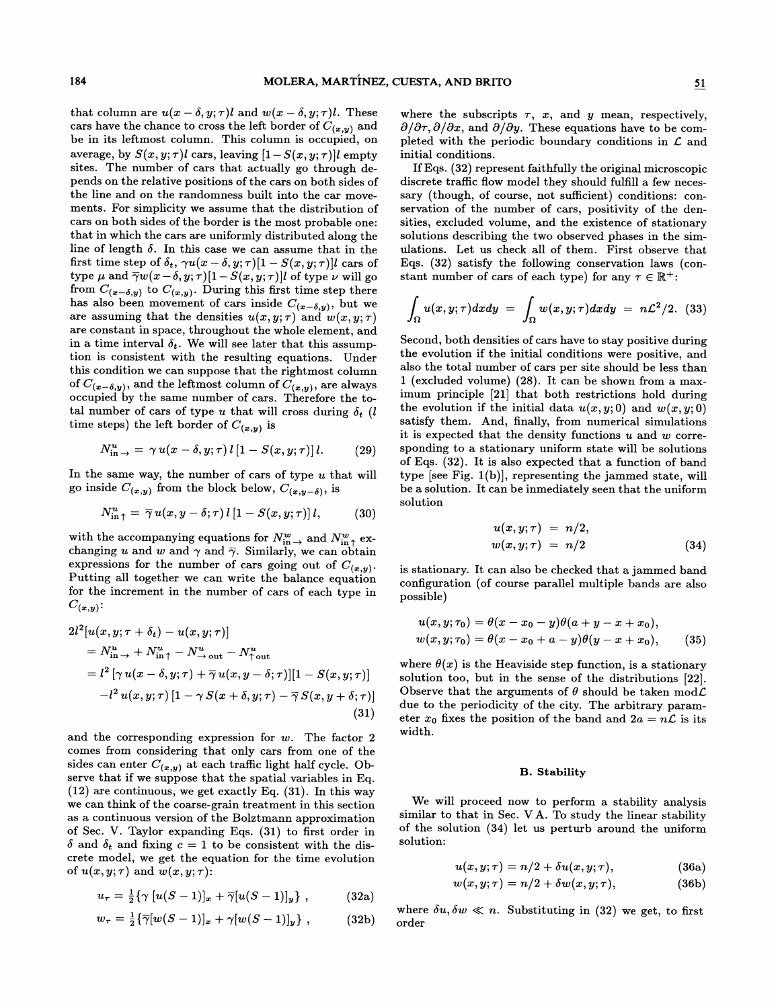that column are  $u(x - \delta, y; \tau)$ l and  $w(x - \delta, y; \tau)$ l. These cars have the chance to cross the left border of  $C_{(x,y)}$  and be in its leftmost column. This column is occupied, on average, by  $S(x, y; \tau)$ l cars, leaving  $[1-S(x, y; \tau)]$ l empty sites. The number of cars that actually go through depends on the relative positions of the cars on both sides of the line and on the randomness built into the car movements. For simplicity we assume that the distribution of cars on both sides of the border is the most probable one: that in which the cars are uniformly distributed along the line of length  $\delta$ . In this case we can assume that in the first time step of  $\delta_t$ ,  $\gamma u(x - \delta, y; \tau) [1 - S(x, y; \tau)]$ l cars of type  $\mu$  and  $\overline{\gamma}w (x-\delta, y; \tau) [1-S(x, y; \tau)]$  of type  $\nu$  will go from  $C_{(x-\delta,y)}$  to  $C_{(x,y)}$ . During this first time step there has also been movement of cars inside  $C_{(x-\delta,y)}$ , but we are assuming that the densities  $u(x, y; \tau)$  and  $w(x, y; \tau)$ are constant in space, throughout the whole element, and in a time interval  $\delta_t$ . We will see later that this assumption is consistent with the resulting equations. Under this condition we can suppose that the rightmost column of  $C_{(\mathbf{x}-\delta,y)}$ , and the leftmost column of  $C_{(\mathbf{x},y)}$ , are always occupied by the same number of cars. Therefore the total number of cars of type u that will cross during  $\delta_t$  (l time steps) the left border of  $C_{(x,y)}$  is

$$
N_{\text{in}\to}^u = \gamma u(x-\delta,y;\tau) l [1 - S(x,y;\tau)] l. \tag{29}
$$

In the same way, the number of cars of type  $u$  that will go inside  $C_{(x,y)}$  from the block below,  $C_{(x,y-\delta)}$ , is

$$
N_{\text{in}\uparrow}^{u} = \overline{\gamma} u(x, y - \delta; \tau) l [1 - S(x, y; \tau)] l, \qquad (30)
$$

with the accompanying equations for  $N_{m}^{w} \rightarrow$  and  $N_{m}^{w} \rightarrow$ <br>changing u and u and  $\alpha$  and  $\bar{\alpha}$ . Similarly up can obtain changing u and w and  $\gamma$  and  $\bar{\gamma}$ . Similarly, we can obtain expressions for the number of cars going out of  $C_{(x,y)}$ . Putting all together we can write the balance equation for the increment in the number of cars of each type in  $C_{(\bm x, \bm y)}$ :

$$
2l^{2}[u(x, y; \tau + \delta_{t}) - u(x, y; \tau)]
$$
  
\n
$$
= N_{\text{in}}^{u} + N_{\text{in}}^{u} + N_{\text{out}}^{u} - N_{\text{out}}^{u}
$$
  
\n
$$
= l^{2}[\gamma u(x - \delta, y; \tau) + \overline{\gamma} u(x, y - \delta; \tau)][1 - S(x, y; \tau)]
$$
  
\n
$$
-l^{2}u(x, y; \tau)[1 - \gamma S(x + \delta, y; \tau) - \overline{\gamma} S(x, y + \delta; \tau)]
$$
\n(31)

and the corresponding expression for  $w$ . The factor 2 comes from considering that only cars from one of the sides can enter  $C_{(x,y)}$  at each traffic light half cycle. Observe that if we suppose that the spatial variables in Eq. (12) are continuous, we get exactly Eq. (31). In this way we can think of the coarse-grain treatment in this section as a continuous version of the Bolztmann approximation of Sec. V. Taylor expanding Eqs. (31) to first order in  $\delta$  and  $\delta_t$  and fixing  $c = 1$  to be consistent with the discrete model, we get the equation for the time evolution of  $u(x, y; \tau)$  and  $w(x, y; \tau)$ :

$$
u_{\tau} = \frac{1}{2} \{ \gamma \, [u(S-1)]_x + \overline{\gamma} [u(S-1)]_y \} , \qquad (32a)
$$

$$
w_{\tau} = \frac{1}{2} \{ \overline{\gamma} [w(S-1)]_{x} + \gamma [w(S-1)]_{y} \}, \qquad (32b)
$$

where the subscripts  $\tau$ , x, and y mean, respectively,  $\partial/\partial \tau$ ,  $\partial/\partial x$ , and  $\partial/\partial y$ . These equations have to be completed with the periodic boundary conditions in  $\mathcal L$  and initial conditions.

If Eqs. (32) represent faithfully the original microscopic discrete traffic flow model they should fulfill a few necessary (though, of course, not sufficient) conditions: conservation of the number of cars, positivity of the densities, excluded volume, and the existence of stationary solutions describing the two observed phases in the simulations. Let us check all of them. First observe that Eqs. (32) satisfy the following conservation laws (constant number of cars of each type) for any  $\tau \in \mathbb{R}^+$ :

$$
\int_{\Omega} u(x,y;\tau)dxdy = \int_{\Omega} w(x,y;\tau)dxdy = n\mathcal{L}^{2}/2.
$$
 (33)

Second, both densities of cars have to stay positive during the evolution if the initial conditions were positive, and also the total number of cars per site should be less than 1 (excluded volume)  $(28)$ . It can be shown from a maximum principle [21] that both restrictions hold during the evolution if the initial data  $u(x, y; 0)$  and  $w(x, y; 0)$ satisfy them. And, finally, from numerical simulations it is expected that the density functions  $u$  and  $w$  corresponding to a stationary uniform state will be solutions of Eqs. (32). It is also expected that a function of band type [see Fig. 1(b)], representing the jammed state, will be a solution. It can be inmediately seen that the uniform solution

$$
u(x, y; \tau) = n/2, \n w(x, y; \tau) = n/2
$$
\n(34)

is stationary. It can also be checked that a jammed band configuration (of course parallel multiple bands are also possible)

$$
u(x, y; \tau_0) = \theta(x - x_0 - y)\theta(a + y - x + x_0),
$$
  
\n
$$
w(x, y; \tau_0) = \theta(x - x_0 + a - y)\theta(y - x + x_0),
$$
\n(35)

where  $\theta(x)$  is the Heaviside step function, is a stationary solution too, but in the sense of the distributions [22]. Observe that the arguments of  $\theta$  should be taken mod $\mathcal L$ due to the periodicity of the city. The arbitrary parameter  $x_0$  fixes the position of the band and  $2a = n\mathcal{L}$  is its width.

### B. Stability

We will proceed now to perform a stability analysis similar to that in Sec. VA. To study the linear stability of the solution (34) let us perturb around the uniform solution:

$$
u(x, y; \tau) = n/2 + \delta u(x, y; \tau), \qquad (36a)
$$

$$
w(x, y; \tau) = n/2 + \delta w(x, y; \tau), \qquad (36b)
$$

where  $\delta u, \delta w \ll n$ . Substituting in (32) we get, to first order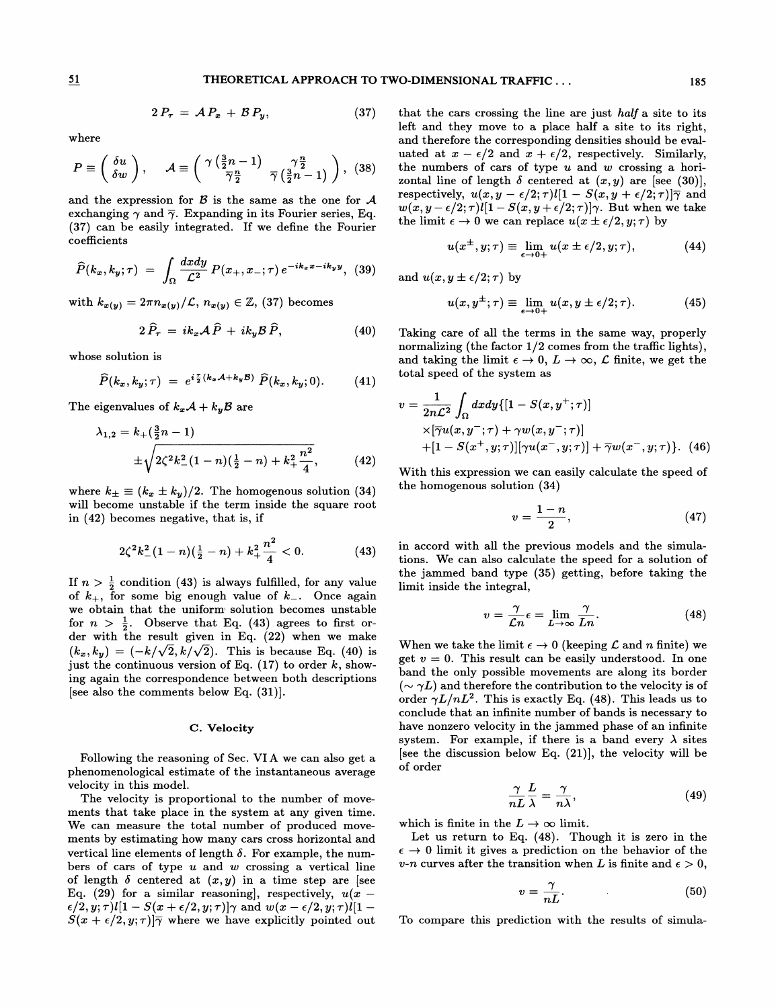$$
2 P_{\tau} = \mathcal{A} P_x + \mathcal{B} P_y, \qquad (37)
$$

where

$$
P \equiv \left(\begin{array}{c} \delta u \\ \delta w \end{array}\right), \quad \mathcal{A} \equiv \left(\begin{array}{cc} \gamma \left(\frac{3}{2}n-1\right) & \gamma \frac{n}{2} \\ \overline{\gamma} \frac{n}{2} & \overline{\gamma} \left(\frac{3}{2}n-1\right) \end{array}\right), \tag{38}
$$

and the expression for  $\beta$  is the same as the one for  $\mathcal A$ exchanging  $\gamma$  and  $\overline{\gamma}$ . Expanding in its Fourier series, Eq. coefficients  $u(x^{\pm}, y; \tau) \equiv \lim_{\alpha \to 0} u(x \pm \epsilon/2, y; \tau),$ 

(37) can be easily integrated. If we define the Fourier coefficients  
\n
$$
\widehat{P}(k_x, k_y; \tau) = \int_{\Omega} \frac{dxdy}{\mathcal{L}^2} P(x_+, x_-; \tau) e^{-ik_x x - ik_y y},
$$
\n(39)

with  $k_{x(y)} = 2\pi n_{x(y)}/\mathcal{L}$ ,  $n_{x(y)} \in \mathbb{Z}$ , (37) becomes

$$
2\,\widehat{P}_{\tau} = ik_x\mathcal{A}\,\widehat{P} + ik_y\mathcal{B}\,\widehat{P},\tag{40}
$$

whose solution is

$$
\widehat{P}(k_x, k_y; \tau) = e^{i\frac{\tau}{2}(k_x \mathcal{A} + k_y \mathcal{B})} \widehat{P}(k_x, k_y; 0). \tag{41}
$$

The eigenvalues of  $k_x \mathcal{A} + k_y \mathcal{B}$  are

$$
\lambda_{1,2} = k_+(\frac{3}{2}n-1)
$$
  
 
$$
\pm \sqrt{2\zeta^2 k_-^2 (1-n)(\frac{1}{2}-n) + k_+^2 \frac{n^2}{4}},
$$
 (42)

where  $k_{\pm} \equiv (k_x \pm k_y)/2$ . The homogenous solution (34) will become unstable if the term inside the square root in (42) becomes negative, that is, if

$$
2\zeta^2 k_-^2 (1-n)\left(\frac{1}{2}-n\right)+k_+^2 \frac{n^2}{4} < 0. \hspace{1.5cm} (43)
$$

If  $n > \frac{1}{2}$  condition (43) is always fulfilled, for any value of  $k_{+}$ , for some big enough value of  $k_{-}$ . Once again we obtain that the uniform: solution becomes unstable for  $n > \frac{1}{2}$ . Observe that Eq. (43) agrees to first order with the result given in Eq. (22) when we make  $(k_x, k_y) = (-k/\sqrt{2}, k/\sqrt{2})$ . This is because Eq. (40) is just the continuous version of Eq.  $(17)$  to order k, showing again the correspondence between both descriptions [see also the comments below Eq. (31)].

### C. Velocity

Following the reasoning of Sec. VIA we can also get a phenomenological estimate of the instantaneous average velocity in this model.

The velocity is proportional to the number of movements that take place in the system at any given time. We can measure the total number of produced movements by estimating how many cars cross horizontal and vertical line elements of length  $\delta$ . For example, the numbers of cars of type  $u$  and  $w$  crossing a vertical line of length  $\delta$  centered at  $(x, y)$  in a time step are [see Eq. (29) for a similar reasoning], respectively,  $u(x-\alpha)$  $\epsilon/2, y; \tau)l[1 - S(x + \epsilon/2, y; \tau)]\gamma$  and  $w(x - \epsilon/2, y; \tau)l[1 - \tau]$  $S(x + \epsilon/2, y; \tau)$  where we have explicitly pointed out

that the cars crossing the line are just half a site to its left and they move to a place half a site to its right, and therefore the corresponding densities should be evaluated at  $x - \epsilon/2$  and  $x + \epsilon/2$ , respectively. Similarly, the numbers of cars of type  $u$  and  $w$  crossing a horizontal line of length  $\delta$  centered at  $(x, y)$  are [see (30)], respectively,  $u(x, y - \epsilon/2; \tau)l[1 - S(x, y + \epsilon/2; \tau)]\overline{\gamma}$  and  $w(x, y - \epsilon/2; \tau)l[1-S(x, y+\epsilon/2; \tau)]\gamma$ . But when we take the limit  $\epsilon \to 0$  we can replace  $u(x \pm \epsilon/2, y; \tau)$  by

$$
u(x^{\pm}, y; \tau) \equiv \lim_{\epsilon \to 0+} u(x \pm \epsilon/2, y; \tau), \tag{44}
$$

and  $u(x, y \pm \epsilon/2; \tau)$  by

$$
u(x, y^{\pm}; \tau) \equiv \lim_{\epsilon \to 0+} u(x, y \pm \epsilon/2; \tau). \tag{45}
$$

Taking care of all the terms in the same way, properly normalizing (the factor  $1/2$  comes from the traffic lights), and taking the limit  $\epsilon \to 0$ ,  $L \to \infty$ ,  $\mathcal L$  finite, we get the total speed of the system as

$$
v = \frac{1}{2n\mathcal{L}^2} \int_{\Omega} dx dy \{ [1 - S(x, y^+; \tau)]
$$
  
 
$$
\times [\overline{\gamma}u(x, y^-; \tau) + \gamma w(x, y^-; \tau)]
$$
  
+ 
$$
[1 - S(x^+, y; \tau)][\gamma u(x^-, y; \tau)] + \overline{\gamma}w(x^-, y; \tau) \}.
$$
 (46)

With this expression we can easily calculate the speed of the homogenous solution  $(34)$ 

$$
v = \frac{1-n}{2},\tag{47}
$$

in accord with all the previous models and the simulations. We can also calculate the speed for a solution of the jammed band type (35) getting, before taking the limit inside the integral,

$$
v = \frac{\gamma}{\mathcal{L}n} \epsilon = \lim_{L \to \infty} \frac{\gamma}{Ln}.
$$
 (48)

When we take the limit  $\epsilon \to 0$  (keeping  $\mathcal L$  and n finite) we get  $v = 0$ . This result can be easily understood. In one band the only possible movements are along its border  $({\sim \gamma L})$  and therefore the contribution to the velocity is of order  $\gamma L/nL^2$ . This is exactly Eq. (48). This leads us to conclude that an infinite number of bands is necessary to have nonzero velocity in the jammed phase of an infinite system. For example, if there is a band every  $\lambda$  sites [see the discussion below Eq.  $(21)$ ], the velocity will be of order

$$
\frac{\gamma}{nL}\frac{L}{\lambda} = \frac{\gamma}{n\lambda},\tag{49}
$$

which is finite in the  $L \to \infty$  limit.

Let us return to Eq.  $(48)$ . Though it is zero in the  $\epsilon \rightarrow 0$  limit it gives a prediction on the behavior of the v-n curves after the transition when L is finite and  $\epsilon > 0$ ,

$$
v = \frac{\gamma}{nL}.\tag{50}
$$

To compare this prediction with the results of simula-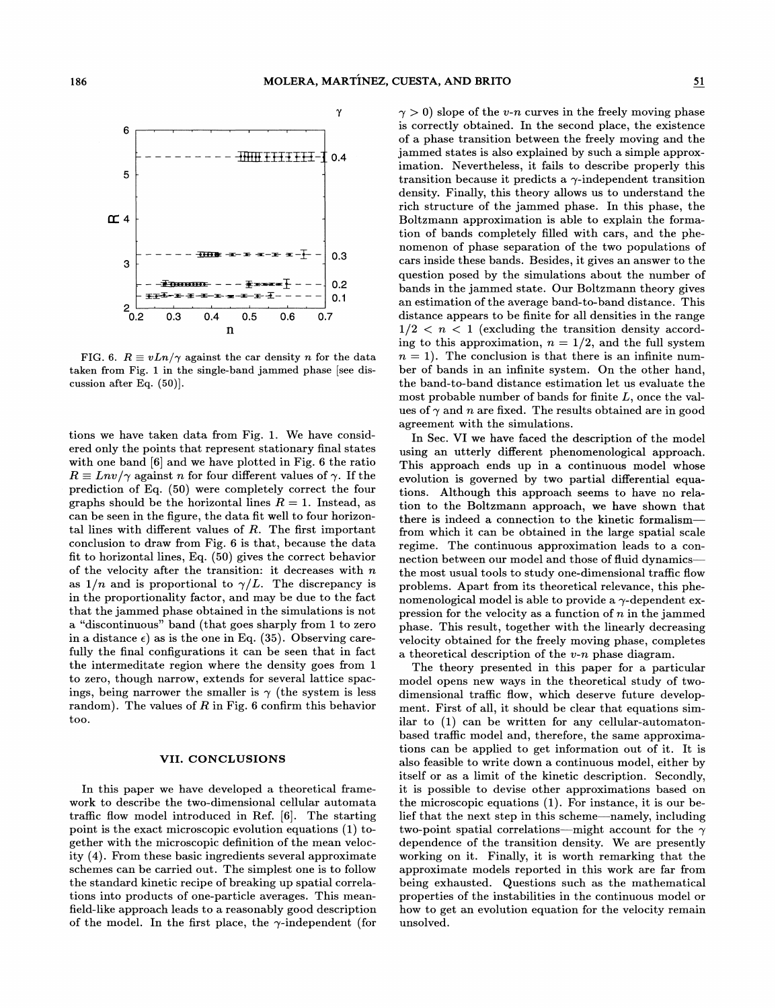

FIG. 6.  $R \equiv vLn/\gamma$  against the car density *n* for the data taken from Fig. 1 in the single-band jammed phase [see discussion after Eq. (50)].

tions we have taken data from Fig. 1. We have considered only the points that represent stationary final states with one band [6] and we have plotted in Fig. 6 the ratio  $R \equiv Lnv/\gamma$  against n for four different values of  $\gamma$ . If the prediction of Eq. (50) were completely correct the four graphs should be the horizontal lines  $R = 1$ . Instead, as can be seen in the figure, the data fit well to four horizontal lines with different values of  $R$ . The first important conclusion to draw from Fig. 6 is that, because the data fit to horizontal lines, Eq. (50) gives the correct behavior of the velocity after the transition: it decreases with  $n$ as  $1/n$  and is proportional to  $\gamma/L$ . The discrepancy is in the proportionality factor, and may be due to the fact that the jammed phase obtained in the simulations is not a "discontinuous" band (that goes sharply from 1 to zero in a distance  $\epsilon$ ) as is the one in Eq. (35). Observing carefully the final configurations it can be seen that in fact the intermeditate region where the density goes from 1 to zero, though narrow, extends for several lattice spacings, being narrower the smaller is  $\gamma$  (the system is less random). The values of  $R$  in Fig. 6 confirm this behavior too.

### VII. CONCLUSIONS

In this paper we have developed a theoretical framework to describe the two-dimensional cellular automata traffic flow model introduced in Ref.  $[6]$ . The starting point is the exact microscopic evolution equations (1) together with the microscopic definition of the mean velocity (4). From these basic ingredients several approximate schemes can be carried out. The simplest one is to follow the standard kinetic recipe of breaking up spatial correlations into products of one-particle averages. This meanfield-like approach leads to a reasonably good description of the model. In the first place, the  $\gamma$ -independent (for  $\gamma > 0$ ) slope of the v-n curves in the freely moving phase is correctly obtained. In the second place, the existence of a phase transition between the freely moving and the jammed states is also explained by such a simple approximation. Nevertheless, it fails to describe properly this transition because it predicts a  $\gamma$ -independent transition density. Finally, this theory allows us to understand the rich structure of the jammed phase. In this phase, the Boltzmann approximation is able to explain the formation of bands completely flied with cars, and the phenomenon of phase separation of the two populations of cars inside these bands. Besides, it gives an answer to the question posed by the simulations about the number of bands in the jammed state. Our Boltzmann theory gives an estimation of the average band-to-band distance. This distance appears to be finite for all densities in the range  $1/2 < n < 1$  (excluding the transition density according to this approximation,  $n = 1/2$ , and the full system  $n = 1$ ). The conclusion is that there is an infinite number of bands in an infinite system. On the other hand, the band-to-band distance estimation let us evaluate the most probable number of bands for finite  $L$ , once the values of  $\gamma$  and n are fixed. The results obtained are in good agreement with the simulations.

In Sec. VI we have faced the description of the model using an utterly different phenomenological approach. This approach ends up in a continuous model whose evolution is governed by two partial differential equations. Although this approach seems to have no relation to the Boltzmann approach, we have shown that there is indeed a connection to the kinetic formalism from which it can be obtained in the large spatial scale regime. The continuous approximation leads to a connection between our model and those of fluid dynamicsthe most usual tools to study one-dimensional traffic Bow problems. Apart from its theoretical relevance, this phenomenological model is able to provide a  $\gamma$ -dependent expression for the velocity as a function of  $n$  in the jammed phase. This result, together with the linearly decreasing velocity obtained for the freely moving phase, completes a theoretical description of the  $v$ -n phase diagram.

The theory presented in this paper for a particular model opens new ways in the theoretical study of twodimensional traffic flow, which deserve future development. First of all, it should be clear that equations similar to (1) can be written for any cellular-automatonbased traffic model and, therefore, the same approximations can be applied to get information out of it. It is also feasible to write down a continuous model, either by itself or as a limit of the kinetic description. Secondly, it is possible to devise other approximations based on the microscopic equations (1). For instance, it is our be-lief that the next step in this scheme —namely, including two-point spatial correlations—might account for the  $\gamma$ dependence of the transition density. We are presently working on it. Finally, it is worth remarking that the approximate models reported in this work are far from being exhausted. Questions such as the mathematical properties of the instabilities in the continuous model or how to get an evolution equation for the velocity remain unsolved.